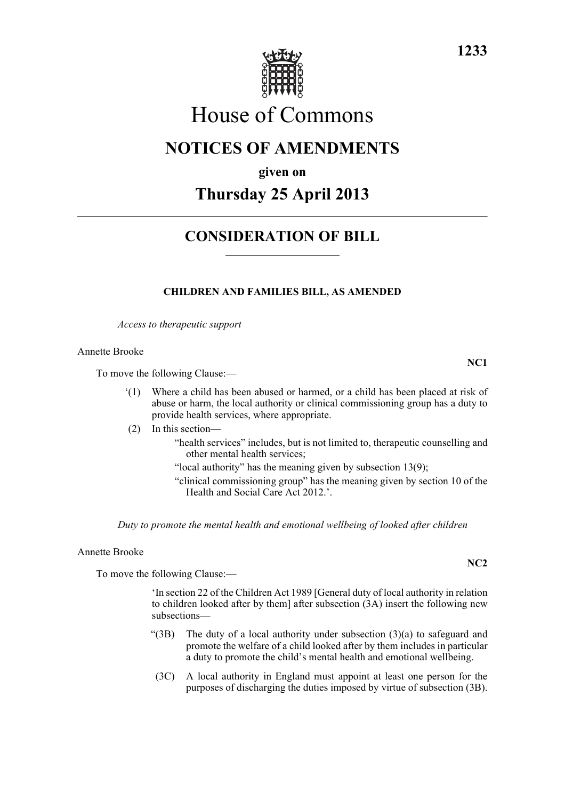

# House of Commons

### **NOTICES OF AMENDMENTS**

**given on**

## **Thursday 25 April 2013**

### **CONSIDERATION OF BILL**

#### **CHILDREN AND FAMILIES BILL, AS AMENDED**

*Access to therapeutic support*

Annette Brooke

To move the following Clause:—

- '(1) Where a child has been abused or harmed, or a child has been placed at risk of abuse or harm, the local authority or clinical commissioning group has a duty to provide health services, where appropriate.
- (2) In this section—

"health services" includes, but is not limited to, therapeutic counselling and other mental health services;

- "local authority" has the meaning given by subsection  $13(9)$ ;
- "clinical commissioning group" has the meaning given by section 10 of the Health and Social Care Act 2012.'.

*Duty to promote the mental health and emotional wellbeing of looked after children*

Annette Brooke

To move the following Clause:—

'In section 22 of the Children Act 1989 [General duty of local authority in relation to children looked after by them] after subsection (3A) insert the following new subsections—

- "(3B) The duty of a local authority under subsection (3)(a) to safeguard and promote the welfare of a child looked after by them includes in particular a duty to promote the child's mental health and emotional wellbeing.
- (3C) A local authority in England must appoint at least one person for the purposes of discharging the duties imposed by virtue of subsection (3B).

**1233**

**NC2**

**NC1**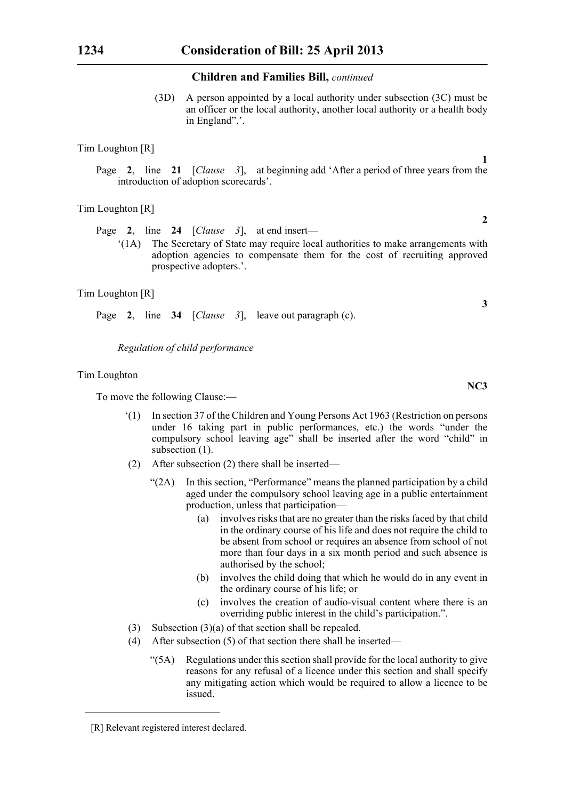#### **Children and Families Bill,** *continued*

(3D) A person appointed by a local authority under subsection (3C) must be an officer or the local authority, another local authority or a health body in England".'.

#### Tim Loughton [R]

Page **2**, line **21** [*Clause 3*], at beginning add 'After a period of three years from the introduction of adoption scorecards'.

#### Tim Loughton [R]

Page **2**, line **24** [*Clause 3*], at end insert—

'(1A) The Secretary of State may require local authorities to make arrangements with adoption agencies to compensate them for the cost of recruiting approved prospective adopters.'.

#### Tim Loughton [R]

Page **2**, line **34** [*Clause 3*], leave out paragraph (c).

*Regulation of child performance*

#### Tim Loughton

To move the following Clause:—

- '(1) In section 37 of the Children and Young Persons Act 1963 (Restriction on persons under 16 taking part in public performances, etc.) the words "under the compulsory school leaving age" shall be inserted after the word "child" in subsection  $(1)$ .
- (2) After subsection (2) there shall be inserted—
	- " $(2A)$  In this section, "Performance" means the planned participation by a child aged under the compulsory school leaving age in a public entertainment production, unless that participation—
		- (a) involves risks that are no greater than the risks faced by that child in the ordinary course of his life and does not require the child to be absent from school or requires an absence from school of not more than four days in a six month period and such absence is authorised by the school;
		- (b) involves the child doing that which he would do in any event in the ordinary course of his life; or
		- (c) involves the creation of audio-visual content where there is an overriding public interest in the child's participation.".
- (3) Subsection (3)(a) of that section shall be repealed.
- (4) After subsection (5) of that section there shall be inserted—
	- "(5A) Regulations under this section shall provide for the local authority to give reasons for any refusal of a licence under this section and shall specify any mitigating action which would be required to allow a licence to be issued.

**2**

**1**

**3**

**NC3**

<sup>[</sup>R] Relevant registered interest declared.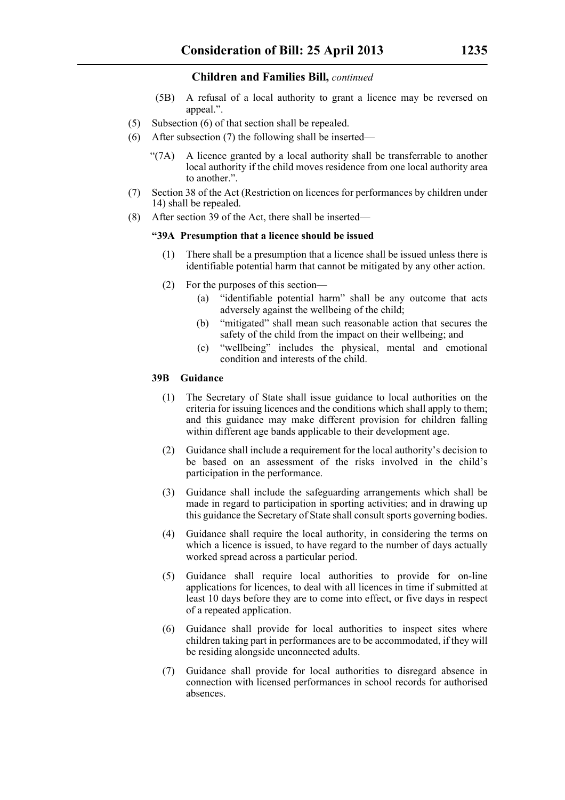#### **Children and Families Bill,** *continued*

- (5B) A refusal of a local authority to grant a licence may be reversed on appeal.".
- (5) Subsection (6) of that section shall be repealed.
- (6) After subsection (7) the following shall be inserted—
	- "(7A) A licence granted by a local authority shall be transferrable to another local authority if the child moves residence from one local authority area to another.".
- (7) Section 38 of the Act (Restriction on licences for performances by children under 14) shall be repealed.
- (8) After section 39 of the Act, there shall be inserted—

#### **"39A Presumption that a licence should be issued**

- (1) There shall be a presumption that a licence shall be issued unless there is identifiable potential harm that cannot be mitigated by any other action.
- (2) For the purposes of this section—
	- (a) "identifiable potential harm" shall be any outcome that acts adversely against the wellbeing of the child;
	- (b) "mitigated" shall mean such reasonable action that secures the safety of the child from the impact on their wellbeing; and
	- (c) "wellbeing" includes the physical, mental and emotional condition and interests of the child.

#### **39B Guidance**

- (1) The Secretary of State shall issue guidance to local authorities on the criteria for issuing licences and the conditions which shall apply to them; and this guidance may make different provision for children falling within different age bands applicable to their development age.
- (2) Guidance shall include a requirement for the local authority's decision to be based on an assessment of the risks involved in the child's participation in the performance.
- (3) Guidance shall include the safeguarding arrangements which shall be made in regard to participation in sporting activities; and in drawing up this guidance the Secretary of State shall consult sports governing bodies.
- (4) Guidance shall require the local authority, in considering the terms on which a licence is issued, to have regard to the number of days actually worked spread across a particular period.
- (5) Guidance shall require local authorities to provide for on-line applications for licences, to deal with all licences in time if submitted at least 10 days before they are to come into effect, or five days in respect of a repeated application.
- (6) Guidance shall provide for local authorities to inspect sites where children taking part in performances are to be accommodated, if they will be residing alongside unconnected adults.
- (7) Guidance shall provide for local authorities to disregard absence in connection with licensed performances in school records for authorised absences.